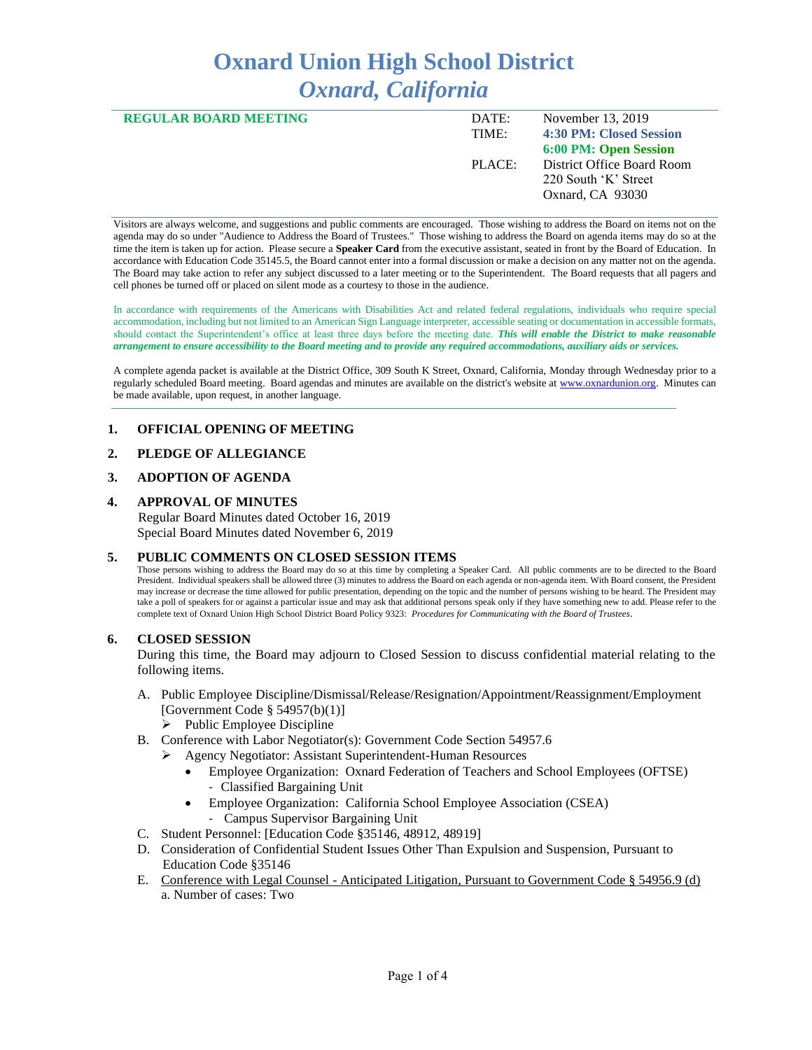# **Oxnard Union High School District** *Oxnard, California*

| DATE:<br>TIME: | November 13, 2019<br>4:30 PM: Closed Session                           |
|----------------|------------------------------------------------------------------------|
|                | 6:00 PM: Open Session                                                  |
| PLACE:         | District Office Board Room<br>220 South 'K' Street<br>Oxnard, CA 93030 |
|                |                                                                        |

Visitors are always welcome, and suggestions and public comments are encouraged. Those wishing to address the Board on items not on the agenda may do so under "Audience to Address the Board of Trustees." Those wishing to address the Board on agenda items may do so at the time the item is taken up for action. Please secure a **Speaker Card** from the executive assistant, seated in front by the Board of Education. In accordance with Education Code 35145.5, the Board cannot enter into a formal discussion or make a decision on any matter not on the agenda. The Board may take action to refer any subject discussed to a later meeting or to the Superintendent. The Board requests that all pagers and cell phones be turned off or placed on silent mode as a courtesy to those in the audience.

In accordance with requirements of the Americans with Disabilities Act and related federal regulations, individuals who require special accommodation, including but not limited to an American Sign Language interpreter, accessible seating or documentation in accessible formats, should contact the Superintendent's office at least three days before the meeting date. *This will enable the District to make reasonable arrangement to ensure accessibility to the Board meeting and to provide any required accommodations, auxiliary aids or services.* 

A complete agenda packet is available at the District Office, 309 South K Street, Oxnard, California, Monday through Wednesday prior to a regularly scheduled Board meeting. Board agendas and minutes are available on the district's website a[t www.ox](http://www.o/)nardunion.org.Minutes can be made available, upon request, in another language.

# **1. OFFICIAL OPENING OF MEETING**

# **2. PLEDGE OF ALLEGIANCE**

# **3. ADOPTION OF AGENDA**

# **4. APPROVAL OF MINUTES**

 Regular Board Minutes dated October 16, 2019 Special Board Minutes dated November 6, 2019

# **5. PUBLIC COMMENTS ON CLOSED SESSION ITEMS**

Those persons wishing to address the Board may do so at this time by completing a Speaker Card. All public comments are to be directed to the Board President. Individual speakers shall be allowed three (3) minutes to address the Board on each agenda or non-agenda item. With Board consent, the President may increase or decrease the time allowed for public presentation, depending on the topic and the number of persons wishing to be heard. The President may take a poll of speakers for or against a particular issue and may ask that additional persons speak only if they have something new to add. Please refer to the complete text of Oxnard Union High School District Board Policy 9323: *Procedures for Communicating with the Board of Trustees*.

# **6. CLOSED SESSION**

During this time, the Board may adjourn to Closed Session to discuss confidential material relating to the following items.

- A. Public Employee Discipline/Dismissal/Release/Resignation/Appointment/Reassignment/Employment [Government Code § 54957(b)(1)]
	- $\triangleright$  Public Employee Discipline
- B. Conference with Labor Negotiator(s): Government Code Section 54957.6
	- ➢ Agency Negotiator: Assistant Superintendent-Human Resources
		- Employee Organization: Oxnard Federation of Teachers and School Employees (OFTSE) - Classified Bargaining Unit
		- Employee Organization: California School Employee Association (CSEA) - Campus Supervisor Bargaining Unit
- C. Student Personnel: [Education Code §35146, 48912, 48919]
- D. Consideration of Confidential Student Issues Other Than Expulsion and Suspension, Pursuant to Education Code §35146
- E. Conference with Legal Counsel Anticipated Litigation, Pursuant to Government Code § 54956.9 (d) a. Number of cases: Two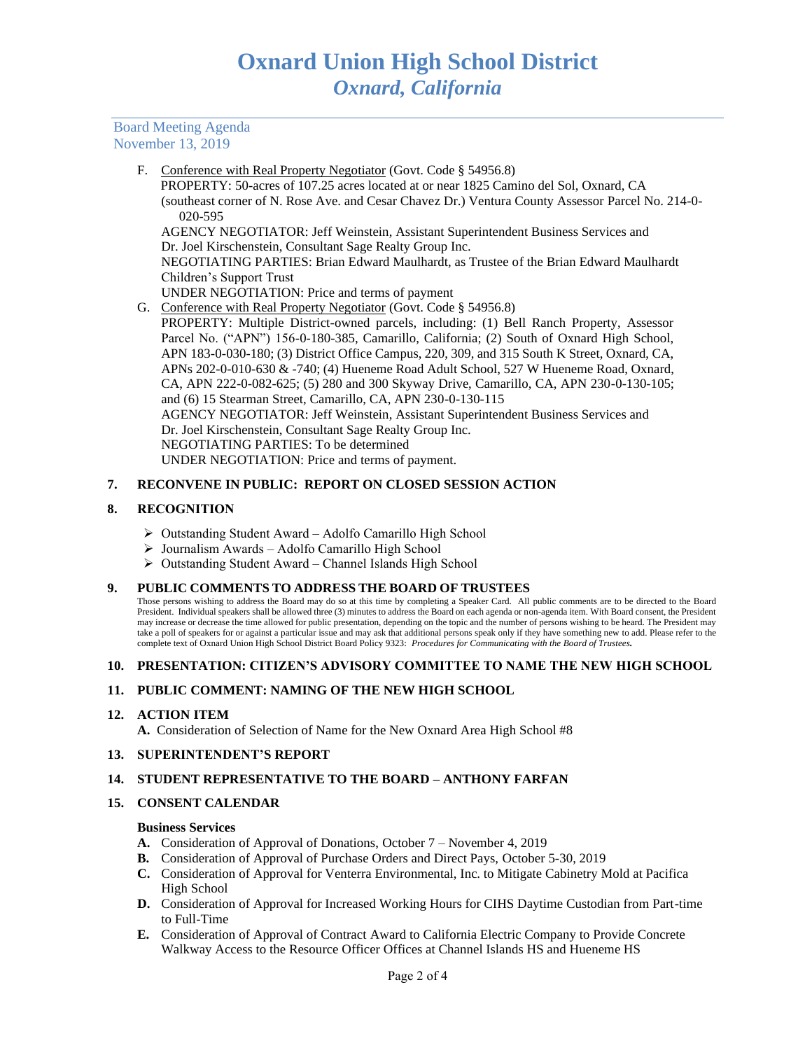Board Meeting Agenda November 13, 2019

F. Conference with Real Property Negotiator (Govt. Code § 54956.8)

 PROPERTY: 50-acres of 107.25 acres located at or near 1825 Camino del Sol, Oxnard, CA (southeast corner of N. Rose Ave. and Cesar Chavez Dr.) Ventura County Assessor Parcel No. 214-0- 020-595

AGENCY NEGOTIATOR: Jeff Weinstein, Assistant Superintendent Business Services and Dr. Joel Kirschenstein, Consultant Sage Realty Group Inc.

NEGOTIATING PARTIES: Brian Edward Maulhardt, as Trustee of the Brian Edward Maulhardt Children's Support Trust

- UNDER NEGOTIATION: Price and terms of payment
- G. Conference with Real Property Negotiator (Govt. Code § 54956.8)
	- PROPERTY: Multiple District-owned parcels, including: (1) Bell Ranch Property, Assessor Parcel No. ("APN") 156-0-180-385, Camarillo, California; (2) South of Oxnard High School, APN 183-0-030-180; (3) District Office Campus, 220, 309, and 315 South K Street, Oxnard, CA, APNs 202-0-010-630 & -740; (4) Hueneme Road Adult School, 527 W Hueneme Road, Oxnard, CA, APN 222-0-082-625; (5) 280 and 300 Skyway Drive, Camarillo, CA, APN 230-0-130-105; and (6) 15 Stearman Street, Camarillo, CA, APN 230-0-130-115 AGENCY NEGOTIATOR: Jeff Weinstein, Assistant Superintendent Business Services and Dr. Joel Kirschenstein, Consultant Sage Realty Group Inc. NEGOTIATING PARTIES: To be determined UNDER NEGOTIATION: Price and terms of payment.

# **7. RECONVENE IN PUBLIC: REPORT ON CLOSED SESSION ACTION**

# **8. RECOGNITION**

- ➢ Outstanding Student Award Adolfo Camarillo High School
- ➢ Journalism Awards Adolfo Camarillo High School
- ➢ Outstanding Student Award Channel Islands High School

# **9. PUBLIC COMMENTS TO ADDRESS THE BOARD OF TRUSTEES**

Those persons wishing to address the Board may do so at this time by completing a Speaker Card. All public comments are to be directed to the Board President. Individual speakers shall be allowed three (3) minutes to address the Board on each agenda or non-agenda item. With Board consent, the President may increase or decrease the time allowed for public presentation, depending on the topic and the number of persons wishing to be heard. The President may take a poll of speakers for or against a particular issue and may ask that additional persons speak only if they have something new to add. Please refer to the complete text of Oxnard Union High School District Board Policy 9323: *Procedures for Communicating with the Board of Trustees.*

# **10. PRESENTATION: CITIZEN'S ADVISORY COMMITTEE TO NAME THE NEW HIGH SCHOOL**

# **11. PUBLIC COMMENT: NAMING OF THE NEW HIGH SCHOOL**

# **12. ACTION ITEM**

**A.** Consideration of Selection of Name for the New Oxnard Area High School #8

# **13. SUPERINTENDENT'S REPORT**

# **14. STUDENT REPRESENTATIVE TO THE BOARD – ANTHONY FARFAN**

# **15. CONSENT CALENDAR**

#### **Business Services**

- **A.** Consideration of Approval of Donations, October 7 November 4, 2019
- **B.** Consideration of Approval of Purchase Orders and Direct Pays, October 5-30, 2019
- **C.** Consideration of Approval for Venterra Environmental, Inc. to Mitigate Cabinetry Mold at Pacifica High School
- **D.** Consideration of Approval for Increased Working Hours for CIHS Daytime Custodian from Part-time to Full-Time
- **E.** Consideration of Approval of Contract Award to California Electric Company to Provide Concrete Walkway Access to the Resource Officer Offices at Channel Islands HS and Hueneme HS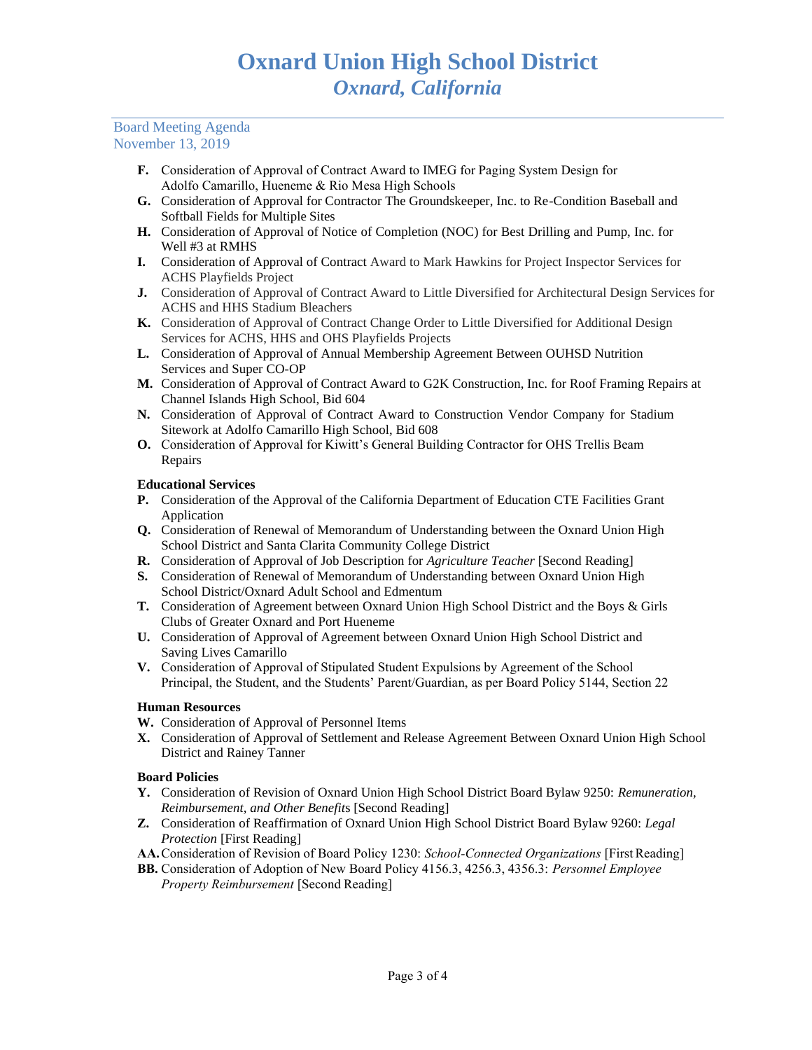# Board Meeting Agenda November 13, 2019

- **F.** Consideration of Approval of Contract Award to IMEG for Paging System Design for Adolfo Camarillo, Hueneme & Rio Mesa High Schools
- **G.** Consideration of Approval for Contractor The Groundskeeper, Inc. to Re-Condition Baseball and Softball Fields for Multiple Sites
- **H.** Consideration of Approval of Notice of Completion (NOC) for Best Drilling and Pump, Inc. for Well #3 at RMHS
- **I.** Consideration of Approval of Contract Award to Mark Hawkins for Project Inspector Services for ACHS Playfields Project
- **J.** Consideration of Approval of Contract Award to Little Diversified for Architectural Design Services for ACHS and HHS Stadium Bleachers
- **K.** Consideration of Approval of Contract Change Order to Little Diversified for Additional Design Services for ACHS, HHS and OHS Playfields Projects
- **L.** Consideration of Approval of Annual Membership Agreement Between OUHSD Nutrition Services and Super CO-OP
- **M.** Consideration of Approval of Contract Award to G2K Construction, Inc. for Roof Framing Repairs at Channel Islands High School, Bid 604
- **N.** Consideration of Approval of Contract Award to Construction Vendor Company for Stadium Sitework at Adolfo Camarillo High School, Bid 608
- **O.** Consideration of Approval for Kiwitt's General Building Contractor for OHS Trellis Beam Repairs

# **Educational Services**

- **P.** Consideration of the Approval of the California Department of Education CTE Facilities Grant Application
- **Q.** Consideration of Renewal of Memorandum of Understanding between the Oxnard Union High School District and Santa Clarita Community College District
- **R.** Consideration of Approval of Job Description for *Agriculture Teacher* [Second Reading]
- **S.** Consideration of Renewal of Memorandum of Understanding between Oxnard Union High School District/Oxnard Adult School and Edmentum
- **T.** Consideration of Agreement between Oxnard Union High School District and the Boys & Girls Clubs of Greater Oxnard and Port Hueneme
- **U.** Consideration of Approval of Agreement between Oxnard Union High School District and Saving Lives Camarillo
- **V.** Consideration of Approval of Stipulated Student Expulsions by Agreement of the School Principal, the Student, and the Students' Parent/Guardian, as per Board Policy 5144, Section 22

# **Human Resources**

- **W.** Consideration of Approval of Personnel Items
- **X.** Consideration of Approval of Settlement and Release Agreement Between Oxnard Union High School District and Rainey Tanner

# **Board Policies**

- **Y.** Consideration of Revision of Oxnard Union High School District Board Bylaw 9250: *Remuneration, Reimbursement, and Other Benefit*s [Second Reading]
- **Z.** Consideration of Reaffirmation of Oxnard Union High School District Board Bylaw 9260: *Legal Protection* [First Reading]
- **AA.**Consideration of Revision of Board Policy 1230: *School-Connected Organizations* [First Reading]
- **BB.** Consideration of Adoption of New Board Policy 4156.3, 4256.3, 4356.3: *Personnel Employee Property Reimbursement* [Second Reading]